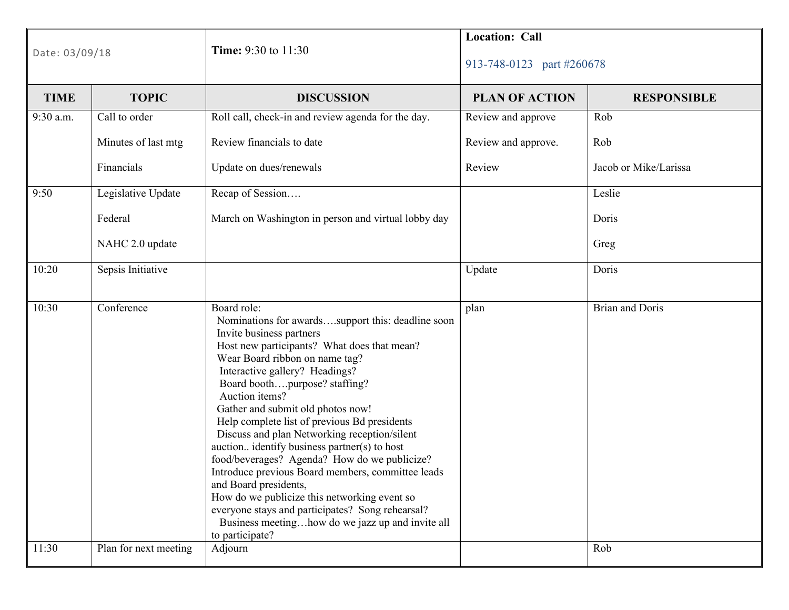| Date: 03/09/18 |                                     | Time: 9:30 to 11:30                                                                                                                                                                                                                                                                                                                                                                                                                                                                                                                                                                                                                                                                                                                                                         | <b>Location: Call</b><br>913-748-0123 part #260678 |                               |
|----------------|-------------------------------------|-----------------------------------------------------------------------------------------------------------------------------------------------------------------------------------------------------------------------------------------------------------------------------------------------------------------------------------------------------------------------------------------------------------------------------------------------------------------------------------------------------------------------------------------------------------------------------------------------------------------------------------------------------------------------------------------------------------------------------------------------------------------------------|----------------------------------------------------|-------------------------------|
| <b>TIME</b>    | <b>TOPIC</b>                        | <b>DISCUSSION</b>                                                                                                                                                                                                                                                                                                                                                                                                                                                                                                                                                                                                                                                                                                                                                           | <b>PLAN OF ACTION</b>                              | <b>RESPONSIBLE</b>            |
| 9:30 a.m.      | Call to order                       | Roll call, check-in and review agenda for the day.                                                                                                                                                                                                                                                                                                                                                                                                                                                                                                                                                                                                                                                                                                                          | Review and approve                                 | Rob                           |
|                | Minutes of last mtg                 | Review financials to date                                                                                                                                                                                                                                                                                                                                                                                                                                                                                                                                                                                                                                                                                                                                                   | Review and approve.                                | Rob                           |
|                | Financials                          | Update on dues/renewals                                                                                                                                                                                                                                                                                                                                                                                                                                                                                                                                                                                                                                                                                                                                                     | Review                                             | Jacob or Mike/Larissa         |
| 9:50           | Legislative Update                  | Recap of Session                                                                                                                                                                                                                                                                                                                                                                                                                                                                                                                                                                                                                                                                                                                                                            |                                                    | Leslie                        |
|                | Federal                             | March on Washington in person and virtual lobby day                                                                                                                                                                                                                                                                                                                                                                                                                                                                                                                                                                                                                                                                                                                         |                                                    | Doris                         |
|                | NAHC 2.0 update                     |                                                                                                                                                                                                                                                                                                                                                                                                                                                                                                                                                                                                                                                                                                                                                                             |                                                    | Greg                          |
| 10:20          | Sepsis Initiative                   |                                                                                                                                                                                                                                                                                                                                                                                                                                                                                                                                                                                                                                                                                                                                                                             | Update                                             | Doris                         |
| 10:30<br>11:30 | Conference<br>Plan for next meeting | Board role:<br>Nominations for awardssupport this: deadline soon<br>Invite business partners<br>Host new participants? What does that mean?<br>Wear Board ribbon on name tag?<br>Interactive gallery? Headings?<br>Board boothpurpose? staffing?<br>Auction items?<br>Gather and submit old photos now!<br>Help complete list of previous Bd presidents<br>Discuss and plan Networking reception/silent<br>auction identify business partner(s) to host<br>food/beverages? Agenda? How do we publicize?<br>Introduce previous Board members, committee leads<br>and Board presidents,<br>How do we publicize this networking event so<br>everyone stays and participates? Song rehearsal?<br>Business meetinghow do we jazz up and invite all<br>to participate?<br>Adjourn | plan                                               | <b>Brian and Doris</b><br>Rob |
|                |                                     |                                                                                                                                                                                                                                                                                                                                                                                                                                                                                                                                                                                                                                                                                                                                                                             |                                                    |                               |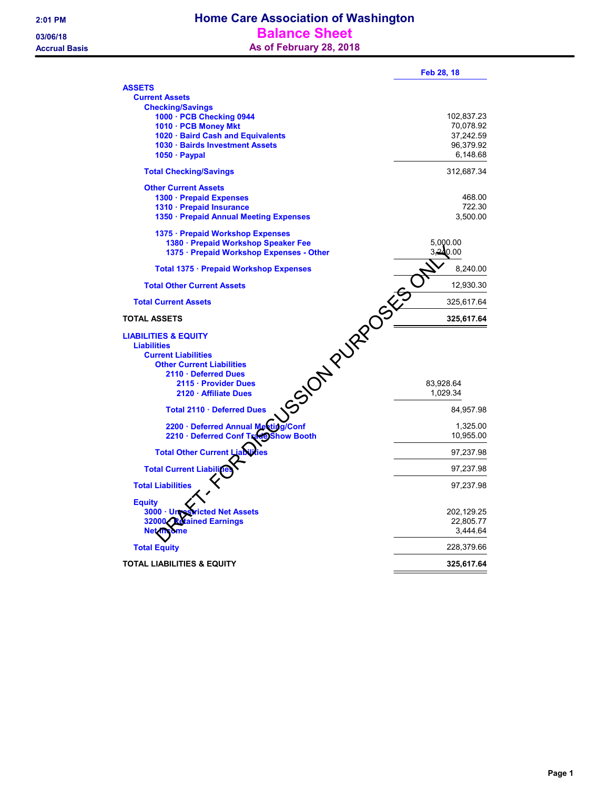| <b>ASSETS</b><br><b>Current Assets</b><br><b>Checking/Savings</b><br>1000 · PCB Checking 0944<br>102,837.23<br>70,078.92<br>1010 · PCB Money Mkt<br>1020 · Baird Cash and Equivalents<br>37,242.59<br>1030 · Bairds Investment Assets<br>96,379.92<br>$1050 \cdot$ Paypal<br>6,148.68<br><b>Total Checking/Savings</b><br>312,687.34<br><b>Other Current Assets</b><br>468.00<br>1300 · Prepaid Expenses<br>1310 · Prepaid Insurance<br>722.30<br>3,500.00<br>1350 · Prepaid Annual Meeting Expenses<br>1375 · Prepaid Workshop Expenses<br>1380 · Prepaid Workshop Speaker Fee<br>5,000.00<br>3.240.00<br>1375 · Prepaid Workshop Expenses - Other<br>8,240.00<br>Total 1375 · Prepaid Workshop Expenses<br>SSION PURPOSES<br><b>Total Other Current Assets</b><br>12,930.30<br><b>Total Current Assets</b><br>325,617.64<br><b>TOTAL ASSETS</b><br>325,617.64<br><b>LIABILITIES &amp; EQUITY</b><br><b>Liabilities</b><br><b>Current Liabilities</b><br><b>Other Current Liabilities</b><br>2110 · Deferred Dues<br>2115 · Provider Dues<br>83,928.64<br>2120 · Affiliate Dues<br>1,029.34<br>Total 2110 · Deferred Dues<br>84,957.98<br>2200 · Deferred Annual Meeting/Conf<br>1,325.00<br>2210 · Deferred Conf Tra<br>10,955.00<br><b>Show Booth</b><br><b>Total Other Current L</b><br>97,237.98<br><b>Total Current Liabili</b><br>97,237.98<br><b>Total Liabilities</b><br>97,237.98<br><b>Equity</b><br>202,129.25<br>$3000 \cdot$ Unro<br>cted Net Assets<br>22.805.77<br>ained Earnings<br>32000.<br>3,444.64<br><b>Net ind</b><br><b>Total Equity</b><br>228,379.66<br>TOTAL LIABILITIES & EQUITY<br>325,617.64 | Feb 28, 18 |
|----------------------------------------------------------------------------------------------------------------------------------------------------------------------------------------------------------------------------------------------------------------------------------------------------------------------------------------------------------------------------------------------------------------------------------------------------------------------------------------------------------------------------------------------------------------------------------------------------------------------------------------------------------------------------------------------------------------------------------------------------------------------------------------------------------------------------------------------------------------------------------------------------------------------------------------------------------------------------------------------------------------------------------------------------------------------------------------------------------------------------------------------------------------------------------------------------------------------------------------------------------------------------------------------------------------------------------------------------------------------------------------------------------------------------------------------------------------------------------------------------------------------------------------------------------------------------------------------------------------------------|------------|
|                                                                                                                                                                                                                                                                                                                                                                                                                                                                                                                                                                                                                                                                                                                                                                                                                                                                                                                                                                                                                                                                                                                                                                                                                                                                                                                                                                                                                                                                                                                                                                                                                            |            |
|                                                                                                                                                                                                                                                                                                                                                                                                                                                                                                                                                                                                                                                                                                                                                                                                                                                                                                                                                                                                                                                                                                                                                                                                                                                                                                                                                                                                                                                                                                                                                                                                                            |            |
|                                                                                                                                                                                                                                                                                                                                                                                                                                                                                                                                                                                                                                                                                                                                                                                                                                                                                                                                                                                                                                                                                                                                                                                                                                                                                                                                                                                                                                                                                                                                                                                                                            |            |
|                                                                                                                                                                                                                                                                                                                                                                                                                                                                                                                                                                                                                                                                                                                                                                                                                                                                                                                                                                                                                                                                                                                                                                                                                                                                                                                                                                                                                                                                                                                                                                                                                            |            |
|                                                                                                                                                                                                                                                                                                                                                                                                                                                                                                                                                                                                                                                                                                                                                                                                                                                                                                                                                                                                                                                                                                                                                                                                                                                                                                                                                                                                                                                                                                                                                                                                                            |            |
|                                                                                                                                                                                                                                                                                                                                                                                                                                                                                                                                                                                                                                                                                                                                                                                                                                                                                                                                                                                                                                                                                                                                                                                                                                                                                                                                                                                                                                                                                                                                                                                                                            |            |
|                                                                                                                                                                                                                                                                                                                                                                                                                                                                                                                                                                                                                                                                                                                                                                                                                                                                                                                                                                                                                                                                                                                                                                                                                                                                                                                                                                                                                                                                                                                                                                                                                            |            |
|                                                                                                                                                                                                                                                                                                                                                                                                                                                                                                                                                                                                                                                                                                                                                                                                                                                                                                                                                                                                                                                                                                                                                                                                                                                                                                                                                                                                                                                                                                                                                                                                                            |            |
|                                                                                                                                                                                                                                                                                                                                                                                                                                                                                                                                                                                                                                                                                                                                                                                                                                                                                                                                                                                                                                                                                                                                                                                                                                                                                                                                                                                                                                                                                                                                                                                                                            |            |
|                                                                                                                                                                                                                                                                                                                                                                                                                                                                                                                                                                                                                                                                                                                                                                                                                                                                                                                                                                                                                                                                                                                                                                                                                                                                                                                                                                                                                                                                                                                                                                                                                            |            |
|                                                                                                                                                                                                                                                                                                                                                                                                                                                                                                                                                                                                                                                                                                                                                                                                                                                                                                                                                                                                                                                                                                                                                                                                                                                                                                                                                                                                                                                                                                                                                                                                                            |            |
|                                                                                                                                                                                                                                                                                                                                                                                                                                                                                                                                                                                                                                                                                                                                                                                                                                                                                                                                                                                                                                                                                                                                                                                                                                                                                                                                                                                                                                                                                                                                                                                                                            |            |
|                                                                                                                                                                                                                                                                                                                                                                                                                                                                                                                                                                                                                                                                                                                                                                                                                                                                                                                                                                                                                                                                                                                                                                                                                                                                                                                                                                                                                                                                                                                                                                                                                            |            |
|                                                                                                                                                                                                                                                                                                                                                                                                                                                                                                                                                                                                                                                                                                                                                                                                                                                                                                                                                                                                                                                                                                                                                                                                                                                                                                                                                                                                                                                                                                                                                                                                                            |            |
|                                                                                                                                                                                                                                                                                                                                                                                                                                                                                                                                                                                                                                                                                                                                                                                                                                                                                                                                                                                                                                                                                                                                                                                                                                                                                                                                                                                                                                                                                                                                                                                                                            |            |
|                                                                                                                                                                                                                                                                                                                                                                                                                                                                                                                                                                                                                                                                                                                                                                                                                                                                                                                                                                                                                                                                                                                                                                                                                                                                                                                                                                                                                                                                                                                                                                                                                            |            |
|                                                                                                                                                                                                                                                                                                                                                                                                                                                                                                                                                                                                                                                                                                                                                                                                                                                                                                                                                                                                                                                                                                                                                                                                                                                                                                                                                                                                                                                                                                                                                                                                                            |            |
|                                                                                                                                                                                                                                                                                                                                                                                                                                                                                                                                                                                                                                                                                                                                                                                                                                                                                                                                                                                                                                                                                                                                                                                                                                                                                                                                                                                                                                                                                                                                                                                                                            |            |
|                                                                                                                                                                                                                                                                                                                                                                                                                                                                                                                                                                                                                                                                                                                                                                                                                                                                                                                                                                                                                                                                                                                                                                                                                                                                                                                                                                                                                                                                                                                                                                                                                            |            |
|                                                                                                                                                                                                                                                                                                                                                                                                                                                                                                                                                                                                                                                                                                                                                                                                                                                                                                                                                                                                                                                                                                                                                                                                                                                                                                                                                                                                                                                                                                                                                                                                                            |            |
|                                                                                                                                                                                                                                                                                                                                                                                                                                                                                                                                                                                                                                                                                                                                                                                                                                                                                                                                                                                                                                                                                                                                                                                                                                                                                                                                                                                                                                                                                                                                                                                                                            |            |
|                                                                                                                                                                                                                                                                                                                                                                                                                                                                                                                                                                                                                                                                                                                                                                                                                                                                                                                                                                                                                                                                                                                                                                                                                                                                                                                                                                                                                                                                                                                                                                                                                            |            |
|                                                                                                                                                                                                                                                                                                                                                                                                                                                                                                                                                                                                                                                                                                                                                                                                                                                                                                                                                                                                                                                                                                                                                                                                                                                                                                                                                                                                                                                                                                                                                                                                                            |            |
|                                                                                                                                                                                                                                                                                                                                                                                                                                                                                                                                                                                                                                                                                                                                                                                                                                                                                                                                                                                                                                                                                                                                                                                                                                                                                                                                                                                                                                                                                                                                                                                                                            |            |
|                                                                                                                                                                                                                                                                                                                                                                                                                                                                                                                                                                                                                                                                                                                                                                                                                                                                                                                                                                                                                                                                                                                                                                                                                                                                                                                                                                                                                                                                                                                                                                                                                            |            |
|                                                                                                                                                                                                                                                                                                                                                                                                                                                                                                                                                                                                                                                                                                                                                                                                                                                                                                                                                                                                                                                                                                                                                                                                                                                                                                                                                                                                                                                                                                                                                                                                                            |            |
|                                                                                                                                                                                                                                                                                                                                                                                                                                                                                                                                                                                                                                                                                                                                                                                                                                                                                                                                                                                                                                                                                                                                                                                                                                                                                                                                                                                                                                                                                                                                                                                                                            |            |
|                                                                                                                                                                                                                                                                                                                                                                                                                                                                                                                                                                                                                                                                                                                                                                                                                                                                                                                                                                                                                                                                                                                                                                                                                                                                                                                                                                                                                                                                                                                                                                                                                            |            |
|                                                                                                                                                                                                                                                                                                                                                                                                                                                                                                                                                                                                                                                                                                                                                                                                                                                                                                                                                                                                                                                                                                                                                                                                                                                                                                                                                                                                                                                                                                                                                                                                                            |            |
|                                                                                                                                                                                                                                                                                                                                                                                                                                                                                                                                                                                                                                                                                                                                                                                                                                                                                                                                                                                                                                                                                                                                                                                                                                                                                                                                                                                                                                                                                                                                                                                                                            |            |
|                                                                                                                                                                                                                                                                                                                                                                                                                                                                                                                                                                                                                                                                                                                                                                                                                                                                                                                                                                                                                                                                                                                                                                                                                                                                                                                                                                                                                                                                                                                                                                                                                            |            |
|                                                                                                                                                                                                                                                                                                                                                                                                                                                                                                                                                                                                                                                                                                                                                                                                                                                                                                                                                                                                                                                                                                                                                                                                                                                                                                                                                                                                                                                                                                                                                                                                                            |            |
|                                                                                                                                                                                                                                                                                                                                                                                                                                                                                                                                                                                                                                                                                                                                                                                                                                                                                                                                                                                                                                                                                                                                                                                                                                                                                                                                                                                                                                                                                                                                                                                                                            |            |
|                                                                                                                                                                                                                                                                                                                                                                                                                                                                                                                                                                                                                                                                                                                                                                                                                                                                                                                                                                                                                                                                                                                                                                                                                                                                                                                                                                                                                                                                                                                                                                                                                            |            |
|                                                                                                                                                                                                                                                                                                                                                                                                                                                                                                                                                                                                                                                                                                                                                                                                                                                                                                                                                                                                                                                                                                                                                                                                                                                                                                                                                                                                                                                                                                                                                                                                                            |            |
|                                                                                                                                                                                                                                                                                                                                                                                                                                                                                                                                                                                                                                                                                                                                                                                                                                                                                                                                                                                                                                                                                                                                                                                                                                                                                                                                                                                                                                                                                                                                                                                                                            |            |
|                                                                                                                                                                                                                                                                                                                                                                                                                                                                                                                                                                                                                                                                                                                                                                                                                                                                                                                                                                                                                                                                                                                                                                                                                                                                                                                                                                                                                                                                                                                                                                                                                            |            |
|                                                                                                                                                                                                                                                                                                                                                                                                                                                                                                                                                                                                                                                                                                                                                                                                                                                                                                                                                                                                                                                                                                                                                                                                                                                                                                                                                                                                                                                                                                                                                                                                                            |            |
|                                                                                                                                                                                                                                                                                                                                                                                                                                                                                                                                                                                                                                                                                                                                                                                                                                                                                                                                                                                                                                                                                                                                                                                                                                                                                                                                                                                                                                                                                                                                                                                                                            |            |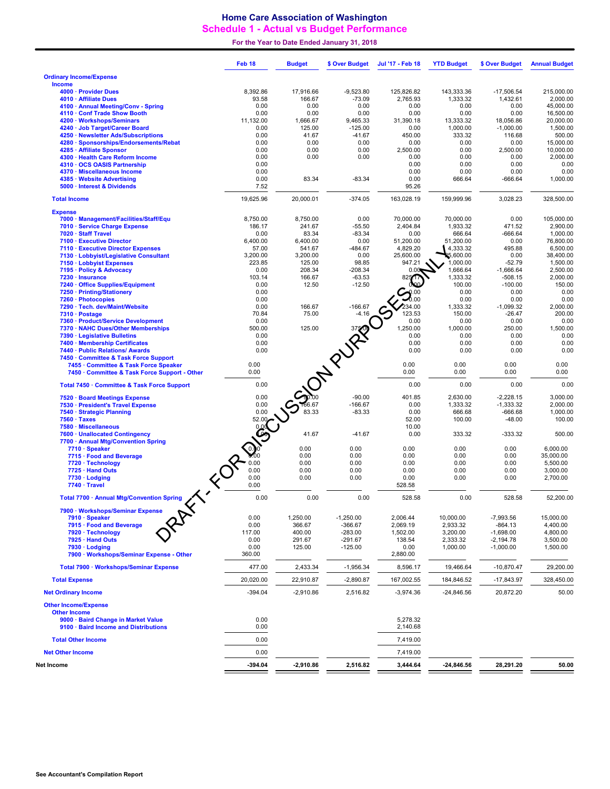## Home Care Association of Washington Schedule 1 - Actual vs Budget Performance

For the Year to Date Ended January 31, 2018

|                            |                                                                                        | Feb <sub>18</sub> | <b>Budget</b>     | \$ Over Budget                      | Jul '17 - Feb 18     | <b>YTD Budget</b>    | \$ Over Budget           | <b>Annual Budget</b>   |
|----------------------------|----------------------------------------------------------------------------------------|-------------------|-------------------|-------------------------------------|----------------------|----------------------|--------------------------|------------------------|
|                            | <b>Ordinary Income/Expense</b>                                                         |                   |                   |                                     |                      |                      |                          |                        |
| <b>Income</b>              | 4000 · Provider Dues                                                                   | 8,392.86          | 17,916.66         | $-9,523.80$                         | 125,826.82           | 143,333.36           | $-17.506.54$             | 215,000.00             |
|                            | 4010 · Affiliate Dues                                                                  | 93.58             | 166.67            | $-73.09$                            | 2,765.93             | 1,333.32             | 1,432.61                 | 2,000.00               |
|                            | 4100 · Annual Meeting/Conv - Spring                                                    | 0.00              | 0.00              | 0.00                                | 0.00                 | 0.00                 | 0.00                     | 45,000.00              |
|                            | 4110 · Conf Trade Show Booth<br>4200 · Workshops/Seminars                              | 0.00<br>11,132.00 | 0.00<br>1,666.67  | 0.00<br>9,465.33                    | 0.00<br>31,390.18    | 0.00<br>13,333.32    | 0.00<br>18,056.86        | 16,500.00<br>20,000.00 |
|                            | 4240 · Job Target/Career Board                                                         | 0.00              | 125.00            | $-125.00$                           | 0.00                 | 1,000.00             | $-1,000.00$              | 1,500.00               |
|                            | 4250 · Newsletter Ads/Subscriptions                                                    | 0.00              | 41.67             | $-41.67$                            | 450.00               | 333.32               | 116.68                   | 500.00                 |
|                            | 4280 · Sponsorships/Endorsements/Rebat                                                 | 0.00              | 0.00              | 0.00                                | 0.00                 | 0.00                 | 0.00                     | 15,000.00              |
|                            | 4285 · Affiliate Sponsor<br>4300 · Health Care Reform Income                           | 0.00<br>0.00      | 0.00<br>0.00      | 0.00<br>0.00                        | 2,500.00<br>0.00     | 0.00<br>0.00         | 2,500.00<br>0.00         | 10,000.00<br>2,000.00  |
|                            | 4310 · OCS OASIS Partnership                                                           | 0.00              |                   |                                     | 0.00                 | 0.00                 | 0.00                     | 0.00                   |
|                            | 4370 · Miscellaneous Income                                                            | 0.00              |                   |                                     | 0.00                 | 0.00                 | 0.00                     | 0.00                   |
|                            | 4385 · Website Advertising<br>5000 · Interest & Dividends                              | 0.00<br>7.52      | 83.34             | $-83.34$                            | 0.00<br>95.26        | 666.64               | $-666.64$                | 1,000.00               |
| <b>Total Income</b>        |                                                                                        | 19.625.96         | 20,000.01         | $-374.05$                           | 163,028.19           | 159,999.96           | 3,028.23                 | 328,500.00             |
| <b>Expense</b>             |                                                                                        |                   |                   |                                     |                      |                      |                          |                        |
|                            | 7000 · Management/Facilities/Staff/Equ                                                 | 8,750.00          | 8,750.00          | 0.00                                | 70,000.00            | 70,000.00            | 0.00                     | 105,000.00             |
|                            | 7010 · Service Charge Expense                                                          | 186.17            | 241.67            | $-55.50$                            | 2,404.84             | 1,933.32             | 471.52                   | 2,900.00               |
|                            | 7020 · Staff Travel<br>7100 · Executive Director                                       | 0.00<br>6,400.00  | 83.34<br>6,400.00 | $-83.34$<br>0.00                    | 0.00<br>51,200.00    | 666.64<br>51,200.00  | $-666.64$<br>0.00        | 1,000.00<br>76,800.00  |
|                            | 7110 · Executive Director Expenses                                                     | 57.00             | 541.67            | $-484.67$                           | 4,829.20             | 4,333.32             | 495.88                   | 6,500.00               |
|                            | 7130 · Lobbyist/Legislative Consultant                                                 | 3.200.00          | 3,200.00          | 0.00                                | 25,600.00            | 5,600.00             | 0.00                     | 38,400.00              |
|                            | 7150 · Lobbyist Expenses                                                               | 223.85            | 125.00            | 98.85                               | 947.21               | 1,000.00             | $-52.79$                 | 1,500.00               |
|                            | 7195 · Policy & Advocacy                                                               | 0.00<br>103.14    | 208.34<br>166.67  | $-208.34$<br>$-63.53$               | 0.00<br>825417       | 1,666.64<br>1,333.32 | $-1,666.64$<br>$-508.15$ | 2,500.00<br>2,000.00   |
|                            | 7230 · Insurance<br>7240 · Office Supplies/Equipment                                   | 0.00              | 12.50             | $-12.50$                            |                      | 100.00               | $-100.00$                | 150.00                 |
|                            | 7250 · Printing/Stationery                                                             | 0.00              |                   |                                     |                      | 0.00                 | 0.00                     | 0.00                   |
|                            | 7260 · Photocopies                                                                     | 0.00              |                   |                                     |                      | 0.00                 | 0.00                     | 0.00                   |
|                            | 7290 · Tech. dev/Maint/Website<br>7310 · Postage                                       | 0.00<br>70.84     | 166.67<br>75.00   | $-166.67$<br>$-4.16$                | 234.00<br>123.53     | 1,333.32<br>150.00   | $-1,099.32$<br>$-26.47$  | 2,000.00<br>200.00     |
|                            | 7360 · Product/Service Development                                                     | 0.00              |                   |                                     | 0.00                 | 0.00                 | 0.00                     | 0.00                   |
|                            | 7370 · NAHC Dues/Other Memberships                                                     | 500.00            |                   |                                     | 1.250.00             | 1,000.00             | 250.00                   | 1,500.00               |
|                            | 7390 · Legislative Bulletins                                                           | 0.00              |                   |                                     | 0.00                 | 0.00                 | 0.00                     | 0.00                   |
|                            | 7400 · Membership Certificates                                                         | 0.00              |                   |                                     | 0.00                 | 0.00                 | 0.00                     | 0.00                   |
|                            | 7440 · Public Relations/ Awards<br>7450 Committee & Task Force Support                 | 0.00              |                   |                                     | 0.00                 | 0.00                 | 0.00                     | 0.00                   |
|                            | 7455 · Committee & Task Force Speaker<br>7450 · Committee & Task Force Support - Other | 0.00<br>0.00      |                   | <b>Selection Property of Street</b> | 0.00<br>0.00         | 0.00<br>0.00         | 0.00<br>0.00             | 0.00<br>0.00           |
|                            | Total 7450 · Committee & Task Force Support                                            | 0.00              |                   |                                     | 0.00                 | 0.00                 | 0.00                     | 0.00                   |
|                            | 7520 · Board Meetings Expense                                                          | 0.00              |                   |                                     | 401.85               | 2,630.00             | $-2,228.15$              | 3,000.00               |
|                            | 7530 · President's Travel Expense                                                      | 0.00              |                   |                                     | 0.00                 | 1,333.32             | $-1,333.32$              | 2,000.00               |
|                            | 7540 · Strategic Planning                                                              | 0.00              | 83.33             | $-83.33$                            | 0.00                 | 666.68               | $-666.68$                | 1,000.00               |
|                            | $7560 \cdot \text{Taxes}$                                                              |                   |                   |                                     | 52.00                | 100.00               | $-48.00$                 | 100.00                 |
|                            | 7580 · Miscellaneous<br>7600 · Unallocated Contingency                                 | <b>BROWNER</b>    | 41.67             | $-41.67$                            | 10.00<br>0.00        | 333.32               | $-333.32$                | 500.00                 |
|                            | 7700 · Annual Mtg/Convention Spring                                                    |                   |                   |                                     |                      |                      |                          |                        |
|                            | 7710 · Speaker                                                                         |                   | 0.00              | 0.00                                | 0.00                 | 0.00                 | 0.00                     | 6,000.00               |
|                            | 7715 · Food and Beverage                                                               |                   | 0.00              | 0.00                                | 0.00                 | 0.00                 | 0.00                     | 35,000.00              |
|                            | 7720 · Technology<br>7725 · Hand Outs                                                  | 0.00<br>0.00      | 0.00<br>0.00      | 0.00<br>0.00                        | 0.00<br>0.00         | 0.00<br>0.00         | 0.00<br>0.00             | 5,500.00<br>3,000.00   |
|                            | 7730 · Lodging                                                                         | 0.00              | 0.00              | 0.00                                | 0.00                 | 0.00                 | 0.00                     | 2,700.00               |
|                            | 7740 · Travel                                                                          | 0.00              |                   |                                     | 528.58               |                      |                          |                        |
|                            | Total 7700 · Annual Mtg/Convention Spring                                              | 0.00              | 0.00              | 0.00                                | 528.58               | 0.00                 | 528.58                   | 52.200.00              |
|                            | 7900 · Workshops/Seminar Expense<br>7910 · Speaker                                     | 0.00              | 1,250.00          | $-1,250.00$                         | 2,006.44             | 10,000.00            | $-7,993.56$              | 15,000.00              |
|                            | 7915 · Food and Beverage                                                               | 0.00              | 366.67            | $-366.67$                           | 2,069.19             | 2,933.32             | $-864.13$                | 4,400.00               |
|                            | 7920 · Technology                                                                      | 117.00            | 400.00            | $-283.00$                           | 1,502.00             | 3,200.00             | $-1,698.00$              | 4,800.00               |
|                            | 7925 · Hand Outs                                                                       | 0.00              | 291.67            | -291.67                             | 138.54               | 2,333.32             | $-2,194.78$              | 3,500.00               |
|                            | 7930 · Lodging<br>7900 · Workshops/Seminar Expense - Other                             | 0.00<br>360.00    | 125.00            | $-125.00$                           | 0.00<br>2,880.00     | 1,000.00             | $-1,000.00$              | 1,500.00               |
|                            | Total 7900 · Workshops/Seminar Expense                                                 | 477.00            | 2,433.34          | $-1,956.34$                         | 8,596.17             | 19,466.64            | $-10,870.47$             | 29,200.00              |
| <b>Total Expense</b>       |                                                                                        | 20,020.00         | 22,910.87         | $-2,890.87$                         | 167,002.55           | 184,846.52           | $-17,843.97$             | 328,450.00             |
| <b>Net Ordinary Income</b> |                                                                                        | $-394.04$         | $-2,910.86$       | 2,516.82                            | $-3,974.36$          | $-24,846.56$         | 20,872.20                | 50.00                  |
|                            | <b>Other Income/Expense</b>                                                            |                   |                   |                                     |                      |                      |                          |                        |
| <b>Other Income</b>        |                                                                                        |                   |                   |                                     |                      |                      |                          |                        |
|                            | 9000 · Baird Change in Market Value<br>9100 · Baird Income and Distributions           | 0.00<br>0.00      |                   |                                     | 5,278.32<br>2,140.68 |                      |                          |                        |
|                            |                                                                                        |                   |                   |                                     |                      |                      |                          |                        |
|                            | <b>Total Other Income</b>                                                              | 0.00              |                   |                                     | 7,419.00             |                      |                          |                        |
| <b>Net Other Income</b>    |                                                                                        | 0.00              |                   |                                     | 7,419.00             |                      |                          |                        |
| Net Income                 |                                                                                        | -394.04           | $-2,910.86$       | 2,516.82                            | 3,444.64             | $-24,846.56$         | 28,291.20                | 50.00                  |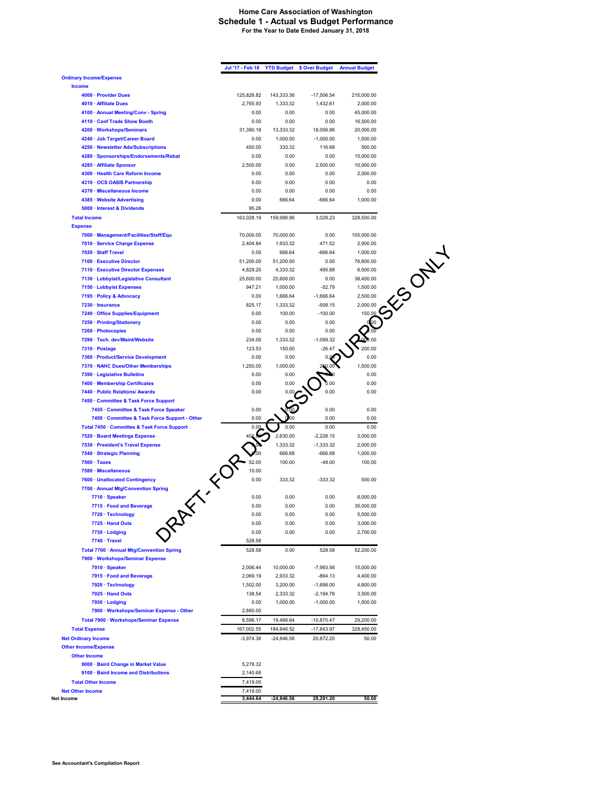## **Home Care Association of Washington Schedule 1 - Actual vs Budget Performance For the Year to Date Ended January 31, 2018**

|                                                                     | Jul '17 - Feb 18      |                     | <b>YTD Budget \$ Over Budget</b> | <b>Annual Budget</b>   |
|---------------------------------------------------------------------|-----------------------|---------------------|----------------------------------|------------------------|
| <b>Ordinary Income/Expense</b>                                      |                       |                     |                                  |                        |
| <b>Income</b>                                                       |                       |                     |                                  |                        |
| 4000 · Provider Dues                                                | 125,826.82            | 143,333.36          | $-17,506.54$                     | 215,000.00             |
| 4010 · Affiliate Dues                                               | 2,765.93              | 1,333.32            | 1,432.61                         | 2,000.00               |
| 4100 · Annual Meeting/Conv - Spring<br>4110 · Conf Trade Show Booth | 0.00<br>0.00          | 0.00<br>0.00        | 0.00<br>0.00                     | 45,000.00              |
| 4200 · Workshops/Seminars                                           | 31,390.18             | 13,333.32           | 18,056.86                        | 16,500.00<br>20,000.00 |
| 4240 · Job Target/Career Board                                      | 0.00                  | 1,000.00            | $-1,000.00$                      | 1,500.00               |
| 4250 · Newsletter Ads/Subscriptions                                 | 450.00                | 333.32              | 116.68                           | 500.00                 |
| 4280 · Sponsorships/Endorsements/Rebat                              | 0.00                  | 0.00                | 0.00                             | 15,000.00              |
| 4285 · Affiliate Sponsor                                            | 2.500.00              | 0.00                | 2,500.00                         | 10,000.00              |
| 4300 · Health Care Reform Income                                    | 0.00                  | 0.00                | 0.00                             | 2,000.00               |
| 4310 · OCS OASIS Partnership                                        | 0.00                  | 0.00                | 0.00                             | 0.00                   |
| 4370 · Miscellaneous Income                                         | 0.00                  | 0.00                | 0.00                             | 0.00                   |
| 4385 · Website Advertising                                          | 0.00                  | 666.64              | $-666.64$                        | 1,000.00               |
| 5000 · Interest & Dividends                                         | 95.26                 |                     |                                  |                        |
| <b>Total Income</b>                                                 | 163,028.19            | 159,999.96          | 3,028.23                         | 328,500.00             |
| <b>Expense</b>                                                      |                       |                     |                                  |                        |
| 7000 · Management/Facilities/Staff/Equ                              | 70,000.00             | 70,000.00           | 0.00                             | 105,000.00             |
| 7010 · Service Charge Expense                                       | 2,404.84              | 1,933.32            | 471.52                           | 2,900.00               |
| 7020 · Staff Travel<br>7100 · Executive Director                    | 0.00<br>51,200.00     | 666.64<br>51,200.00 | $-666.64$<br>0.00                | 1,000.00<br>76,800.00  |
| 7110 · Executive Director Expenses                                  | 4,829.20              | 4,333.32            | 495.88                           | 6,500.00               |
| 7130 · Lobbyist/Legislative Consultant                              | 25.600.00             | 25,600.00           | 0.00                             | 38,400.00              |
| 7150 · Lobbyist Expenses                                            | 947.21                | 1,000.00            | $-52.79$                         | 1,500.00               |
| 7195 · Policy & Advocacy                                            | 0.00                  | 1,666.64            | $-1,666.64$                      | 2,500.00               |
| 7230 · Insurance                                                    | 825.17                | 1,333.32            | $-508.15$                        | 2,000.00               |
| 7240 · Office Supplies/Equipment                                    | 0.00                  | 100.00              | $-100.00$                        | 150.00                 |
| 7250 · Printing/Stationery                                          | 0.00                  | 0.00                | 0.00                             | .<br>00                |
| 7260 · Photocopies                                                  | 0.00                  | 0.00                | 0.00                             |                        |
| 7290 · Tech. dev/Maint/Website                                      | 234.00                | 1,333.32            | $-1,099.32$                      |                        |
| 7310 · Postage                                                      | 123.53                | 150.00              | $-26.47$                         | 200.00                 |
| 7360 · Product/Service Development                                  | 0.00                  | 0.00                |                                  | 0.00                   |
| 7370 · NAHC Dues/Other Memberships                                  | 1,250.00              | 1,000.00            |                                  | 1,500.00               |
| 7390 · Legislative Bulletins<br>7400 · Membership Certificates      | 0.00<br>0.00          | 0.00<br>0.00        |                                  | 0.00<br>0.00           |
| 7440 · Public Relations/ Awards                                     | 0.00                  |                     | 0.00                             | 0.00                   |
| 7450 · Committee & Task Force Support                               |                       |                     |                                  |                        |
| 7455 · Committee & Task Force Speaker                               | 0.00                  |                     | 0.00                             | 0.00                   |
| 7450 · Committee & Task Force Support - Other                       | 0.00                  |                     | 0.00                             | 0.00                   |
| Total 7450 · Committee & Task Force Support                         | 0.00                  | 0.00                | 0.00                             | 0.00                   |
| 7520 · Board Meetings Expense                                       |                       | 2,630.00            | $-2,228.15$                      | 3,000.00               |
| 7530 · President's Travel Expense                                   |                       | 1,333.32            | $-1,333.32$                      | 2,000.00               |
| 7540 · Strategic Planning                                           |                       | 666.68              | $-666.68$                        | 1,000.00               |
| $7560 \cdot Taxes$                                                  | 52.00                 | 100.00              | $-48.00$                         | 100.00                 |
| 7580 · Miscellaneous                                                | 10.00                 |                     |                                  |                        |
| 7600 · Unallocated Contingency                                      | <b>FILLER</b><br>0.00 | 333.32              | $-333.32$                        | 500.00                 |
| 7700 · Annual Mtg/Convention Spring                                 |                       |                     |                                  |                        |
| 7710 · Speaker                                                      | 0.00                  | 0.00                | 0.00                             | 6,000.00               |
| 7715 · Food and Beverage                                            | 0.00                  | 0.00                | 0.00                             | 35,000.00<br>5,500.00  |
| 25x<br>7720 · Technology<br>7725 · Hand Outs                        | 0.00<br>0.00          | 0.00<br>0.00        | 0.00<br>0.00                     | 3,000.00               |
| 7730 · Lodging                                                      | 0.00                  | 0.00                | 0.00                             | 2,700.00               |
| 7740 · Travel                                                       | 528.58                |                     |                                  |                        |
| Total 7700 · Annual Mtg/Convention Spring                           | 528.58                | 0.00                | 528.58                           | 52,200.00              |
| 7900 · Workshops/Seminar Expense                                    |                       |                     |                                  |                        |
| 7910 · Speaker                                                      | 2,006.44              | 10,000.00           | $-7,993.56$                      | 15,000.00              |
| 7915 · Food and Beverage                                            | 2,069.19              | 2,933.32            | $-864.13$                        | 4,400.00               |
| 7920 · Technology                                                   | 1,502.00              | 3,200.00            | $-1,698.00$                      | 4,800.00               |
| 7925 · Hand Outs                                                    | 138.54                | 2,333.32            | $-2,194.78$                      | 3,500.00               |
| 7930 · Lodging                                                      | 0.00                  | 1,000.00            | $-1,000.00$                      | 1,500.00               |
| 7900 · Workshops/Seminar Expense - Other                            | 2,880.00              |                     |                                  |                        |
| Total 7900 · Workshops/Seminar Expense                              | 8,596.17              | 19,466.64           | $-10,870.47$                     | 29,200.00              |
| <b>Total Expense</b>                                                | 167,002.55            | 184,846.52          | -17,843.97                       | 328,450.00             |
| <b>Net Ordinary Income</b>                                          | $-3,974.36$           | $-24,846.56$        | 20,872.20                        | 50.00                  |
| <b>Other Income/Expense</b>                                         |                       |                     |                                  |                        |
| <b>Other Income</b>                                                 |                       |                     |                                  |                        |
| 9000 · Baird Change in Market Value                                 | 5,278.32              |                     |                                  |                        |
| 9100 · Baird Income and Distributions                               | 2,140.68              |                     |                                  |                        |
| <b>Total Other Income</b>                                           | 7,419.00              |                     |                                  |                        |
| <b>Net Other Income</b>                                             | 7,419.00              |                     |                                  |                        |
| Net Income                                                          | 3,444.64              | $-24,846.56$        | 28,291.20                        | 50.00                  |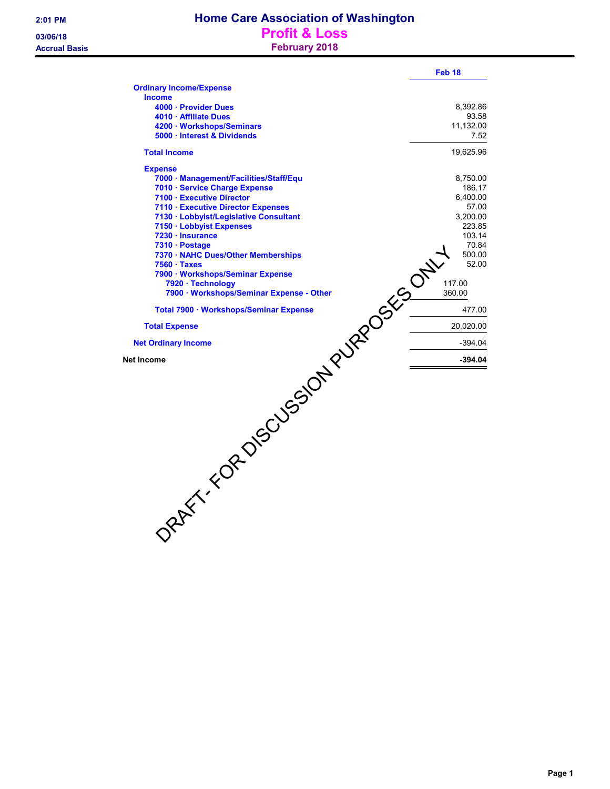|                                        | Feb 18    |
|----------------------------------------|-----------|
| <b>Ordinary Income/Expense</b>         |           |
| <b>Income</b>                          |           |
| 4000 · Provider Dues                   | 8,392.86  |
| 4010 · Affiliate Dues                  | 93.58     |
| 4200 · Workshops/Seminars              | 11,132.00 |
| 5000 · Interest & Dividends            | 7.52      |
| <b>Total Income</b>                    | 19,625.96 |
| <b>Expense</b>                         |           |
| 7000 · Management/Facilities/Staff/Equ | 8,750.00  |
| 7010 · Service Charge Expense          | 186.17    |
| 7100 · Executive Director              | 6,400.00  |
| 7110 · Executive Director Expenses     | 57.00     |
| 7130 · Lobbyist/Legislative Consultant | 3,200.00  |
| 7150 · Lobbyist Expenses               | 223.85    |
| 7230 · Insurance                       | 103.14    |
| 7310 · Postage                         | 70.84     |
|                                        | 500.00    |
|                                        | 52.00     |
|                                        |           |
|                                        | 117.00    |
|                                        | 360.00    |
|                                        | 477.00    |
| <b>Total Expense</b>                   | 20,020.00 |
| <b>Net Ordinary Income</b>             | $-394.04$ |
| Net Income                             | $-394.04$ |
| DRAFT-TOR DISSOLVESION PURPOSES -      |           |
|                                        |           |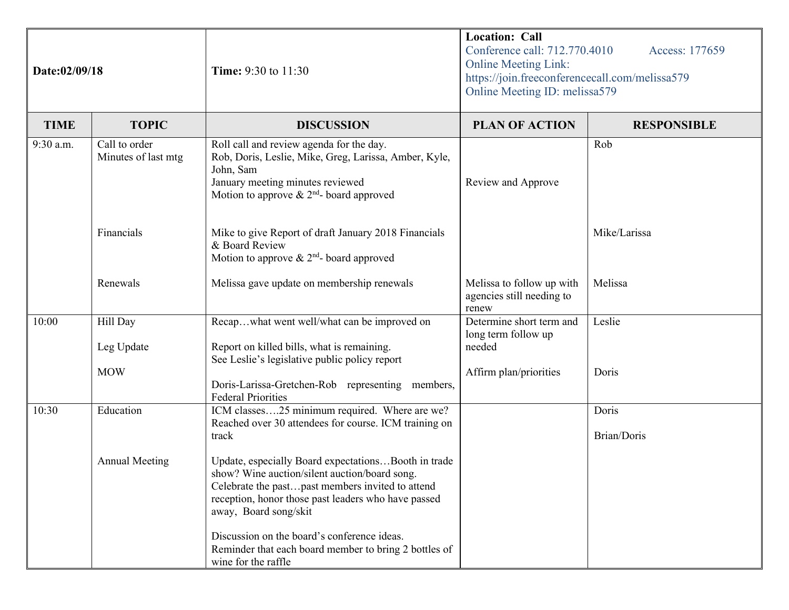| Date:02/09/18 |                                      | <b>Time:</b> 9:30 to 11:30                                                                                                                                                                                                                                                                                                                                              | <b>Location: Call</b><br>Conference call: 712.770.4010<br>Access: 177659<br><b>Online Meeting Link:</b><br>https://join.freeconferencecall.com/melissa579<br>Online Meeting ID: melissa579 |                      |
|---------------|--------------------------------------|-------------------------------------------------------------------------------------------------------------------------------------------------------------------------------------------------------------------------------------------------------------------------------------------------------------------------------------------------------------------------|--------------------------------------------------------------------------------------------------------------------------------------------------------------------------------------------|----------------------|
| <b>TIME</b>   | <b>TOPIC</b>                         | <b>DISCUSSION</b>                                                                                                                                                                                                                                                                                                                                                       | <b>PLAN OF ACTION</b>                                                                                                                                                                      | <b>RESPONSIBLE</b>   |
| 9:30 a.m.     | Call to order<br>Minutes of last mtg | Roll call and review agenda for the day.<br>Rob, Doris, Leslie, Mike, Greg, Larissa, Amber, Kyle,<br>John, Sam<br>January meeting minutes reviewed<br>Motion to approve $\&$ 2 <sup>nd</sup> - board approved                                                                                                                                                           | Review and Approve                                                                                                                                                                         | Rob                  |
|               | Financials                           | Mike to give Report of draft January 2018 Financials<br>& Board Review<br>Motion to approve $& 2nd$ - board approved                                                                                                                                                                                                                                                    |                                                                                                                                                                                            | Mike/Larissa         |
|               | Renewals                             | Melissa gave update on membership renewals                                                                                                                                                                                                                                                                                                                              | Melissa to follow up with<br>agencies still needing to<br>renew                                                                                                                            | Melissa              |
| 10:00         | Hill Day<br>Leg Update<br><b>MOW</b> | Recapwhat went well/what can be improved on<br>Report on killed bills, what is remaining.<br>See Leslie's legislative public policy report                                                                                                                                                                                                                              | Determine short term and<br>long term follow up<br>needed<br>Affirm plan/priorities                                                                                                        | Leslie<br>Doris      |
|               |                                      | Doris-Larissa-Gretchen-Rob representing members,<br><b>Federal Priorities</b>                                                                                                                                                                                                                                                                                           |                                                                                                                                                                                            |                      |
| 10:30         | Education                            | ICM classes25 minimum required. Where are we?<br>Reached over 30 attendees for course. ICM training on<br>track                                                                                                                                                                                                                                                         |                                                                                                                                                                                            | Doris<br>Brian/Doris |
|               | <b>Annual Meeting</b>                | Update, especially Board expectationsBooth in trade<br>show? Wine auction/silent auction/board song.<br>Celebrate the pastpast members invited to attend<br>reception, honor those past leaders who have passed<br>away, Board song/skit<br>Discussion on the board's conference ideas.<br>Reminder that each board member to bring 2 bottles of<br>wine for the raffle |                                                                                                                                                                                            |                      |